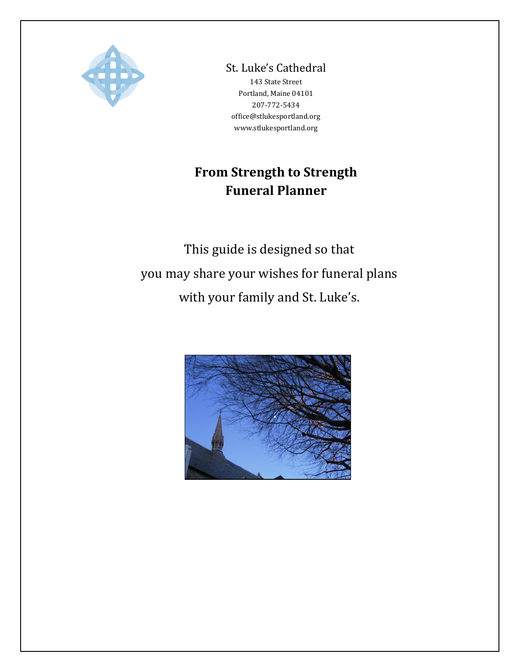

St. Luke's Cathedral

143 State Street Portland, Maine 04101 207-772-5434 office@stlukesportland.org [www.stlukesportland.org](http://www.stlukesportland.org/)

# **From Strength to Strength Funeral Planner**

This guide is designed so that you may share your wishes for funeral plans with your family and St. Luke's.

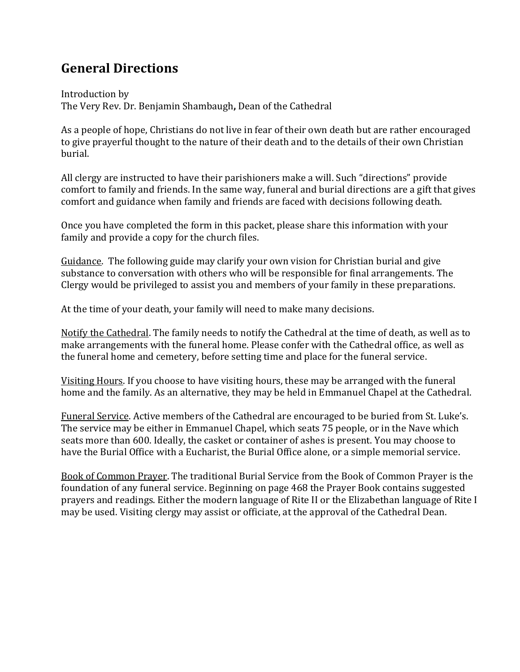# **General Directions**

Introduction by The Very Rev. Dr. Benjamin Shambaugh**,** Dean of the Cathedral

As a people of hope, Christians do not live in fear of their own death but are rather encouraged to give prayerful thought to the nature of their death and to the details of their own Christian burial.

All clergy are instructed to have their parishioners make a will. Such "directions" provide comfort to family and friends. In the same way, funeral and burial directions are a gift that gives comfort and guidance when family and friends are faced with decisions following death.

Once you have completed the form in this packet, please share this information with your family and provide a copy for the church files.

Guidance. The following guide may clarify your own vision for Christian burial and give substance to conversation with others who will be responsible for final arrangements. The Clergy would be privileged to assist you and members of your family in these preparations.

At the time of your death, your family will need to make many decisions.

Notify the Cathedral. The family needs to notify the Cathedral at the time of death, as well as to make arrangements with the funeral home. Please confer with the Cathedral office, as well as the funeral home and cemetery, before setting time and place for the funeral service.

Visiting Hours. If you choose to have visiting hours, these may be arranged with the funeral home and the family. As an alternative, they may be held in Emmanuel Chapel at the Cathedral.

Funeral Service. Active members of the Cathedral are encouraged to be buried from St. Luke's. The service may be either in Emmanuel Chapel, which seats 75 people, or in the Nave which seats more than 600. Ideally, the casket or container of ashes is present. You may choose to have the Burial Office with a Eucharist, the Burial Office alone, or a simple memorial service.

Book of Common Prayer. The traditional Burial Service from the Book of Common Prayer is the foundation of any funeral service. Beginning on page 468 the Prayer Book contains suggested prayers and readings. Either the modern language of Rite II or the Elizabethan language of Rite I may be used. Visiting clergy may assist or officiate, at the approval of the Cathedral Dean.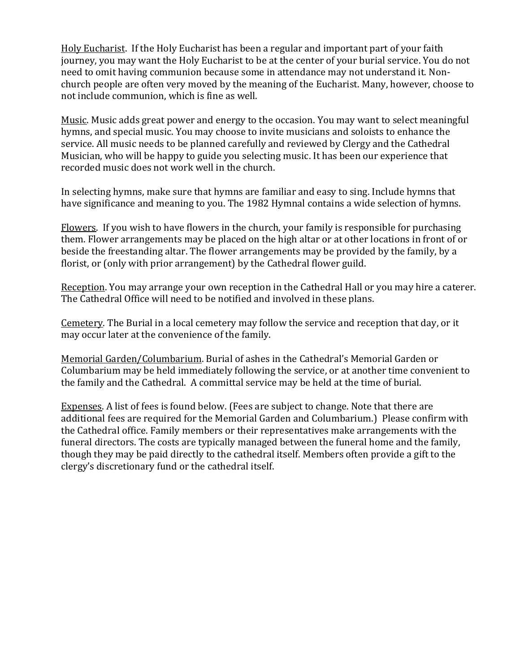Holy Eucharist. If the Holy Eucharist has been a regular and important part of your faith journey, you may want the Holy Eucharist to be at the center of your burial service. You do not need to omit having communion because some in attendance may not understand it. Nonchurch people are often very moved by the meaning of the Eucharist. Many, however, choose to not include communion, which is fine as well.

Music. Music adds great power and energy to the occasion. You may want to select meaningful hymns, and special music. You may choose to invite musicians and soloists to enhance the service. All music needs to be planned carefully and reviewed by Clergy and the Cathedral Musician, who will be happy to guide you selecting music. It has been our experience that recorded music does not work well in the church.

In selecting hymns, make sure that hymns are familiar and easy to sing. Include hymns that have significance and meaning to you. The 1982 Hymnal contains a wide selection of hymns.

Flowers. If you wish to have flowers in the church, your family is responsible for purchasing them. Flower arrangements may be placed on the high altar or at other locations in front of or beside the freestanding altar. The flower arrangements may be provided by the family, by a florist, or (only with prior arrangement) by the Cathedral flower guild.

Reception. You may arrange your own reception in the Cathedral Hall or you may hire a caterer. The Cathedral Office will need to be notified and involved in these plans.

Cemetery. The Burial in a local cemetery may follow the service and reception that day, or it may occur later at the convenience of the family.

Memorial Garden/Columbarium. Burial of ashes in the Cathedral's Memorial Garden or Columbarium may be held immediately following the service, or at another time convenient to the family and the Cathedral. A committal service may be held at the time of burial.

Expenses. A list of fees is found below. (Fees are subject to change. Note that there are additional fees are required for the Memorial Garden and Columbarium.) Please confirm with the Cathedral office. Family members or their representatives make arrangements with the funeral directors. The costs are typically managed between the funeral home and the family, though they may be paid directly to the cathedral itself. Members often provide a gift to the clergy's discretionary fund or the cathedral itself.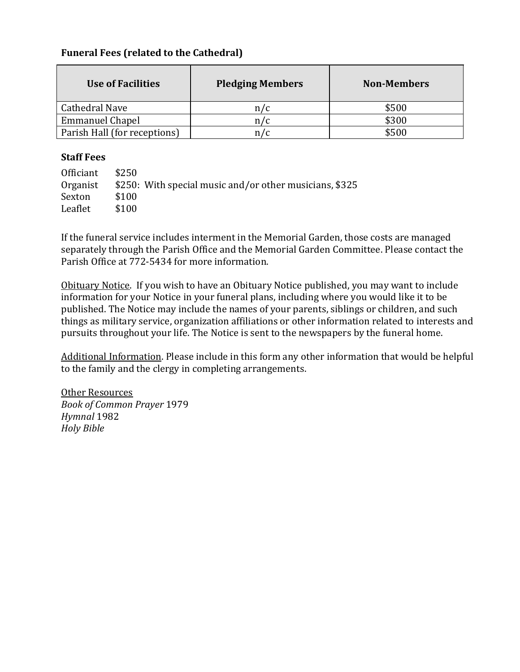# **Funeral Fees (related to the Cathedral)**

| <b>Use of Facilities</b>     | <b>Pledging Members</b> | <b>Non-Members</b> |
|------------------------------|-------------------------|--------------------|
| Cathedral Nave               | n / c                   | \$500              |
| <b>Emmanuel Chapel</b>       | n / c                   | \$300              |
| Parish Hall (for receptions) |                         | \$500              |

## **Staff Fees**

| Officiant | \$250                                                   |
|-----------|---------------------------------------------------------|
| Organist  | \$250: With special music and/or other musicians, \$325 |
| Sexton    | \$100                                                   |
| Leaflet   | \$100                                                   |

If the funeral service includes interment in the Memorial Garden, those costs are managed separately through the Parish Office and the Memorial Garden Committee. Please contact the Parish Office at 772-5434 for more information.

Obituary Notice. If you wish to have an Obituary Notice published, you may want to include information for your Notice in your funeral plans, including where you would like it to be published. The Notice may include the names of your parents, siblings or children, and such things as military service, organization affiliations or other information related to interests and pursuits throughout your life. The Notice is sent to the newspapers by the funeral home.

Additional Information. Please include in this form any other information that would be helpful to the family and the clergy in completing arrangements.

Other Resources *Book of Common Prayer* 1979 *Hymnal* 1982 *Holy Bible*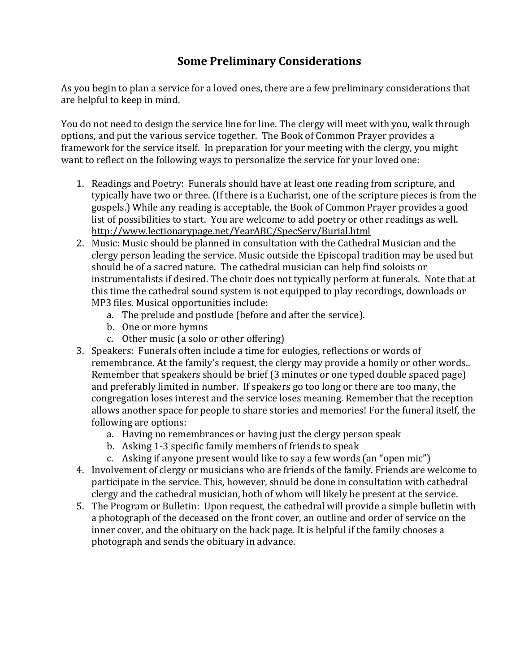# **Some Preliminary Considerations**

As you begin to plan a service for a loved ones, there are a few preliminary considerations that are helpful to keep in mind.

You do not need to design the service line for line. The clergy will meet with you, walk through options, and put the various service together. The Book of Common Prayer provides a framework for the service itself. In preparation for your meeting with the clergy, you might want to reflect on the following ways to personalize the service for your loved one:

- 1. Readings and Poetry: Funerals should have at least one reading from scripture, and typically have two or three. (If there is a Eucharist, one of the scripture pieces is from the gospels.) While any reading is acceptable, the Book of Common Prayer provides a good list of possibilities to start. You are welcome to add poetry or other readings as well. <http://www.lectionarypage.net/YearABC/SpecServ/Burial.html>
- 2. Music: Music should be planned in consultation with the Cathedral Musician and the clergy person leading the service. Music outside the Episcopal tradition may be used but should be of a sacred nature. The cathedral musician can help find soloists or instrumentalists if desired. The choir does not typically perform at funerals. Note that at this time the cathedral sound system is not equipped to play recordings, downloads or MP3 files. Musical opportunities include:
	- a. The prelude and postlude (before and after the service).
	- b. One or more hymns
	- c. Other music (a solo or other offering)
- 3. Speakers: Funerals often include a time for eulogies, reflections or words of remembrance. At the family's request, the clergy may provide a homily or other words.. Remember that speakers should be brief (3 minutes or one typed double spaced page) and preferably limited in number. If speakers go too long or there are too many, the congregation loses interest and the service loses meaning. Remember that the reception allows another space for people to share stories and memories! For the funeral itself, the following are options:
	- a. Having no remembrances or having just the clergy person speak
	- b. Asking 1-3 specific family members of friends to speak
	- c. Asking if anyone present would like to say a few words (an "open mic")
- 4. Involvement of clergy or musicians who are friends of the family. Friends are welcome to participate in the service. This, however, should be done in consultation with cathedral clergy and the cathedral musician, both of whom will likely be present at the service.
- 5. The Program or Bulletin: Upon request, the cathedral will provide a simple bulletin with a photograph of the deceased on the front cover, an outline and order of service on the inner cover, and the obituary on the back page. It is helpful if the family chooses a photograph and sends the obituary in advance.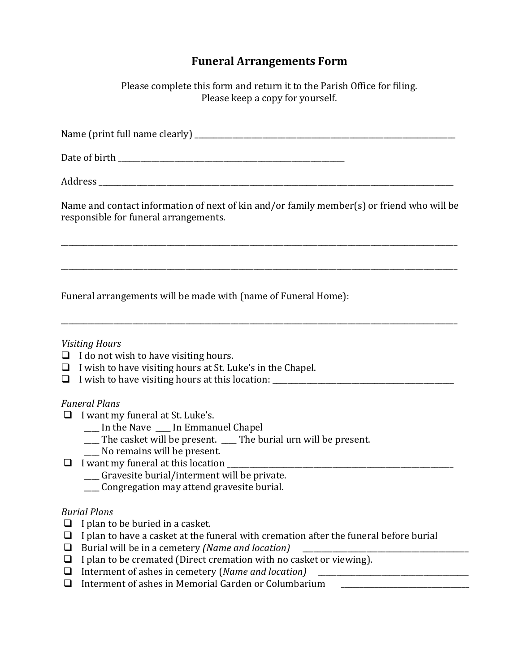# **Funeral Arrangements Form**

Please complete this form and return it to the Parish Office for filing. Please keep a copy for yourself.

Name (print full name clearly) \_\_\_\_\_\_\_\_\_\_\_\_\_\_\_\_\_\_\_\_\_\_\_\_\_\_\_\_\_\_\_\_\_\_\_\_\_\_\_\_\_\_\_\_\_\_\_\_\_\_\_\_\_\_\_\_\_\_\_\_\_\_\_\_\_\_\_\_\_

Date of birth \_\_\_\_\_\_\_\_\_\_\_\_\_\_\_\_\_\_\_\_\_\_\_\_\_\_\_\_\_\_\_\_\_\_\_\_\_\_\_\_\_\_\_\_\_\_\_\_\_\_\_\_\_\_\_\_\_\_\_\_

Address \_\_\_\_\_\_\_\_\_\_\_\_\_\_\_\_\_\_\_\_\_\_\_\_\_\_\_\_\_\_\_\_\_\_\_\_\_\_\_\_\_\_\_\_\_\_\_\_\_\_\_\_\_\_\_\_\_\_\_\_\_\_\_\_\_\_\_\_\_\_\_\_\_\_\_\_\_\_\_\_\_\_\_\_\_\_\_\_\_\_\_\_\_\_

Name and contact information of next of kin and/or family member(s) or friend who will be responsible for funeral arrangements.

\_\_\_\_\_\_\_\_\_\_\_\_\_\_\_\_\_\_\_\_\_\_\_\_\_\_\_\_\_\_\_\_\_\_\_\_\_\_\_\_\_\_\_\_\_\_\_\_\_\_\_\_\_\_\_\_\_\_\_\_\_\_\_\_\_\_\_\_\_\_\_\_\_\_\_\_\_\_\_\_\_\_\_\_\_\_\_\_\_\_\_\_\_\_\_\_\_\_\_\_\_\_\_\_\_

\_\_\_\_\_\_\_\_\_\_\_\_\_\_\_\_\_\_\_\_\_\_\_\_\_\_\_\_\_\_\_\_\_\_\_\_\_\_\_\_\_\_\_\_\_\_\_\_\_\_\_\_\_\_\_\_\_\_\_\_\_\_\_\_\_\_\_\_\_\_\_\_\_\_\_\_\_\_\_\_\_\_\_\_\_\_\_\_\_\_\_\_\_\_\_\_\_\_\_\_\_\_\_\_\_

\_\_\_\_\_\_\_\_\_\_\_\_\_\_\_\_\_\_\_\_\_\_\_\_\_\_\_\_\_\_\_\_\_\_\_\_\_\_\_\_\_\_\_\_\_\_\_\_\_\_\_\_\_\_\_\_\_\_\_\_\_\_\_\_\_\_\_\_\_\_\_\_\_\_\_\_\_\_\_\_\_\_\_\_\_\_\_\_\_\_\_\_\_\_\_\_\_\_\_\_\_\_\_\_\_

Funeral arrangements will be made with (name of Funeral Home):

#### *Visiting Hours*

- $\Box$  I do not wish to have visiting hours.
- $\Box$  I wish to have visiting hours at St. Luke's in the Chapel.
- $\Box$  I wish to have visiting hours at this location:

#### *Funeral Plans*

- ❑ I want my funeral at St. Luke's.
	- \_\_\_\_ In the Nave \_\_\_\_ In Emmanuel Chapel
	- \_\_\_\_ The casket will be present. \_\_\_\_ The burial urn will be present.
	- \_\_\_\_ No remains will be present.
- $\Box$  I want my funeral at this location
	- \_\_\_\_ Gravesite burial/interment will be private.
	- \_\_\_\_ Congregation may attend gravesite burial.

#### *Burial Plans*

- $\Box$  I plan to be buried in a casket.
- $\Box$  I plan to have a casket at the funeral with cremation after the funeral before burial
- ❑ Burial will be in a cemetery *(Name and location)* \_\_\_\_\_\_\_\_\_\_\_\_\_\_\_\_\_\_\_\_\_\_\_\_\_\_\_\_\_\_\_\_\_\_\_\_\_\_\_\_\_\_\_\_
- $\Box$  I plan to be cremated (Direct cremation with no casket or viewing).
- ❑ Interment of ashes in cemetery (*Name and location)* \_\_\_\_\_\_\_\_\_\_\_\_\_\_\_\_\_\_\_\_\_\_\_\_\_\_\_\_\_\_\_\_\_\_\_\_\_\_\_\_
- □ Interment of ashes in Memorial Garden or Columbarium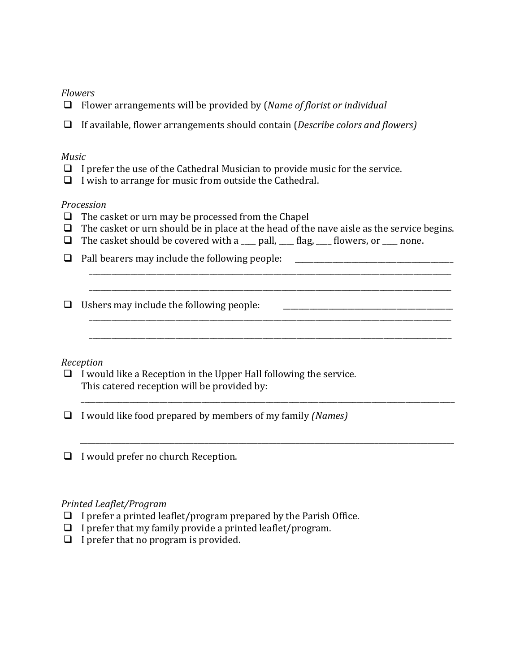## *Flowers*

- ❑ Flower arrangements will be provided by (*Name of florist or individual*
- ❑ If available, flower arrangements should contain (*Describe colors and flowers)*

#### *Music*

- $\Box$  I prefer the use of the Cathedral Musician to provide music for the service.
- ❑ I wish to arrange for music from outside the Cathedral.

#### *Procession*

- ❑ The casket or urn may be processed from the Chapel
- $\Box$  The casket or urn should be in place at the head of the nave aisle as the service begins.

\_\_\_\_\_\_\_\_\_\_\_\_\_\_\_\_\_\_\_\_\_\_\_\_\_\_\_\_\_\_\_\_\_\_\_\_\_\_\_\_\_\_\_\_\_\_\_\_\_\_\_\_\_\_\_\_\_\_\_\_\_\_\_\_\_\_\_\_\_\_\_\_\_\_\_\_\_\_\_\_\_\_\_\_\_\_\_\_\_\_\_\_\_\_\_\_ \_\_\_\_\_\_\_\_\_\_\_\_\_\_\_\_\_\_\_\_\_\_\_\_\_\_\_\_\_\_\_\_\_\_\_\_\_\_\_\_\_\_\_\_\_\_\_\_\_\_\_\_\_\_\_\_\_\_\_\_\_\_\_\_\_\_\_\_\_\_\_\_\_\_\_\_\_\_\_\_\_\_\_\_\_\_\_\_\_\_\_\_\_\_\_\_

\_\_\_\_\_\_\_\_\_\_\_\_\_\_\_\_\_\_\_\_\_\_\_\_\_\_\_\_\_\_\_\_\_\_\_\_\_\_\_\_\_\_\_\_\_\_\_\_\_\_\_\_\_\_\_\_\_\_\_\_\_\_\_\_\_\_\_\_\_\_\_\_\_\_\_\_\_\_\_\_\_\_\_\_\_\_\_\_\_\_\_\_\_\_\_\_

\_\_\_\_\_\_\_\_\_\_\_\_\_\_\_\_\_\_\_\_\_\_\_\_\_\_\_\_\_\_\_\_\_\_\_\_\_\_\_\_\_\_\_\_\_\_\_\_\_\_\_\_\_\_\_\_\_\_\_\_\_\_\_\_\_\_\_\_\_\_\_\_\_\_\_\_\_\_\_\_\_\_\_\_\_\_\_\_\_\_\_\_\_\_\_\_\_\_\_

*\_\_\_\_\_\_\_\_\_\_\_\_\_\_\_\_\_\_\_\_\_\_\_\_\_\_\_\_\_\_\_\_\_\_\_\_\_\_\_\_\_\_\_\_\_\_\_\_\_\_\_\_\_\_\_\_\_\_\_\_\_\_\_\_\_\_\_\_\_\_\_\_\_\_\_\_\_\_\_\_\_\_\_\_\_\_\_\_\_\_\_\_\_\_\_\_\_\_\_*

- $\Box$  The casket should be covered with a  $\Box$  pall,  $\Box$  flag,  $\Box$  flowers, or  $\Box$  none.
- ❑ Pall bearers may include the following people: \_\_\_\_\_\_\_\_\_\_\_\_\_\_\_\_\_\_\_\_\_\_\_\_\_\_\_\_\_\_\_\_\_\_\_\_\_\_\_\_\_\_
- ❑ Ushers may include the following people: \_\_\_\_\_\_\_\_\_\_\_\_\_\_\_\_\_\_\_\_\_\_\_\_\_\_\_\_\_\_\_\_\_\_\_\_\_\_\_\_\_\_\_\_\_

## *Reception*

- $\Box$  I would like a Reception in the Upper Hall following the service. This catered reception will be provided by:
- ❑ I would like food prepared by members of my family *(Names)*
- ❑ I would prefer no church Reception.

#### *Printed Leaflet/Program*

- $\Box$  I prefer a printed leaflet/program prepared by the Parish Office.
- $\Box$  I prefer that my family provide a printed leaflet/program.
- $\Box$  I prefer that no program is provided.